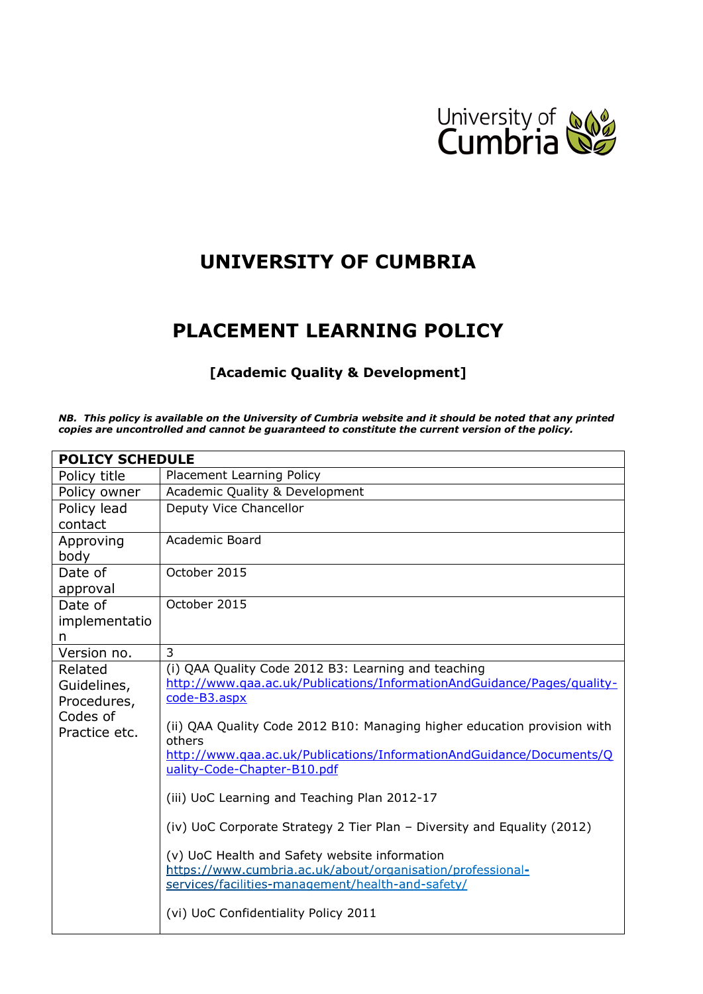

# **UNIVERSITY OF CUMBRIA**

# **PLACEMENT LEARNING POLICY**

# **[Academic Quality & Development]**

*NB. This policy is available on the University of Cumbria website and it should be noted that any printed copies are uncontrolled and cannot be guaranteed to constitute the current version of the policy.*

| <b>POLICY SCHEDULE</b>    |                                                                                                                                                                  |  |  |  |  |  |
|---------------------------|------------------------------------------------------------------------------------------------------------------------------------------------------------------|--|--|--|--|--|
| Policy title              | Placement Learning Policy                                                                                                                                        |  |  |  |  |  |
| Policy owner              | Academic Quality & Development                                                                                                                                   |  |  |  |  |  |
| Policy lead               | Deputy Vice Chancellor                                                                                                                                           |  |  |  |  |  |
| contact                   |                                                                                                                                                                  |  |  |  |  |  |
| Approving                 | Academic Board                                                                                                                                                   |  |  |  |  |  |
| body                      |                                                                                                                                                                  |  |  |  |  |  |
| Date of                   | October 2015                                                                                                                                                     |  |  |  |  |  |
| approval                  |                                                                                                                                                                  |  |  |  |  |  |
| Date of                   | October 2015                                                                                                                                                     |  |  |  |  |  |
| implementatio             |                                                                                                                                                                  |  |  |  |  |  |
| n.                        |                                                                                                                                                                  |  |  |  |  |  |
| Version no.               | 3                                                                                                                                                                |  |  |  |  |  |
| Related                   | (i) QAA Quality Code 2012 B3: Learning and teaching                                                                                                              |  |  |  |  |  |
| Guidelines,               | http://www.qaa.ac.uk/Publications/InformationAndGuidance/Pages/quality-<br>code-B3.aspx                                                                          |  |  |  |  |  |
| Procedures,               |                                                                                                                                                                  |  |  |  |  |  |
| Codes of<br>Practice etc. | (ii) QAA Quality Code 2012 B10: Managing higher education provision with                                                                                         |  |  |  |  |  |
|                           | others                                                                                                                                                           |  |  |  |  |  |
|                           | http://www.gaa.ac.uk/Publications/InformationAndGuidance/Documents/Q                                                                                             |  |  |  |  |  |
|                           | uality-Code-Chapter-B10.pdf                                                                                                                                      |  |  |  |  |  |
|                           | (iii) UoC Learning and Teaching Plan 2012-17                                                                                                                     |  |  |  |  |  |
|                           | (iv) UoC Corporate Strategy 2 Tier Plan - Diversity and Equality (2012)                                                                                          |  |  |  |  |  |
|                           | (v) UoC Health and Safety website information<br>https://www.cumbria.ac.uk/about/organisation/professional-<br>services/facilities-management/health-and-safety/ |  |  |  |  |  |
|                           | (vi) UoC Confidentiality Policy 2011                                                                                                                             |  |  |  |  |  |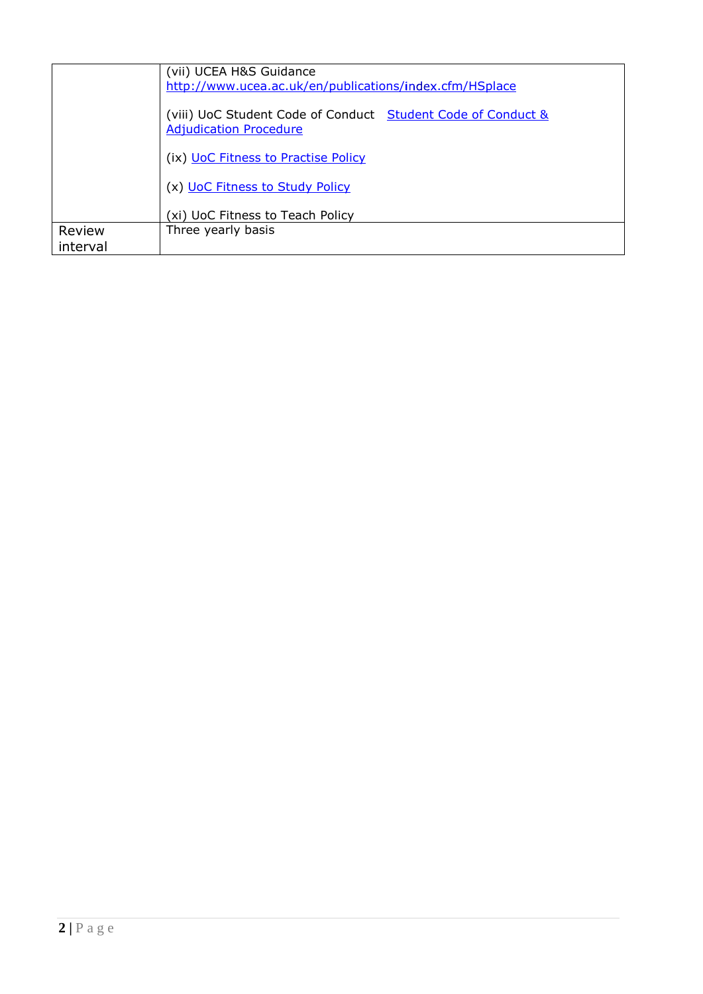|                    | (vii) UCEA H&S Guidance<br>http://www.ucea.ac.uk/en/publications/index.cfm/HSplace            |  |  |
|--------------------|-----------------------------------------------------------------------------------------------|--|--|
|                    | (viii) UoC Student Code of Conduct Student Code of Conduct &<br><b>Adjudication Procedure</b> |  |  |
|                    | (ix) <b>UoC Fitness to Practise Policy</b>                                                    |  |  |
|                    | (x) UoC Fitness to Study Policy                                                               |  |  |
|                    | (xi) UoC Fitness to Teach Policy                                                              |  |  |
| Review<br>interval | Three yearly basis                                                                            |  |  |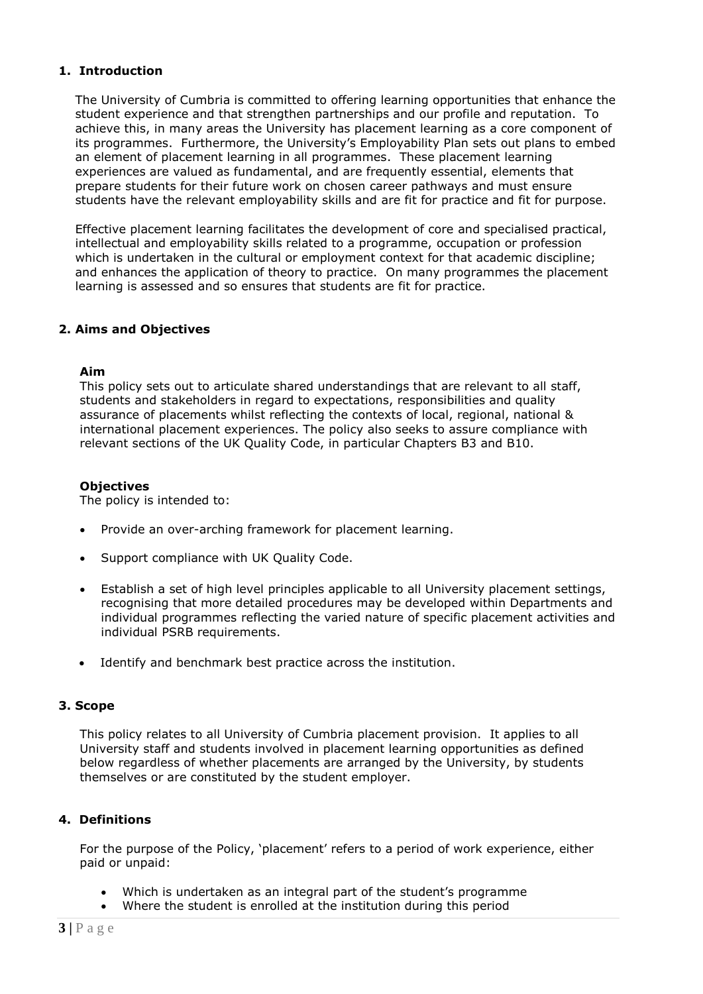### **1. Introduction**

The University of Cumbria is committed to offering learning opportunities that enhance the student experience and that strengthen partnerships and our profile and reputation. To achieve this, in many areas the University has placement learning as a core component of its programmes. Furthermore, the University's Employability Plan sets out plans to embed an element of placement learning in all programmes. These placement learning experiences are valued as fundamental, and are frequently essential, elements that prepare students for their future work on chosen career pathways and must ensure students have the relevant employability skills and are fit for practice and fit for purpose.

Effective placement learning facilitates the development of core and specialised practical, intellectual and employability skills related to a programme, occupation or profession which is undertaken in the cultural or employment context for that academic discipline; and enhances the application of theory to practice. On many programmes the placement learning is assessed and so ensures that students are fit for practice.

### **2. Aims and Objectives**

### **Aim**

This policy sets out to articulate shared understandings that are relevant to all staff, students and stakeholders in regard to expectations, responsibilities and quality assurance of placements whilst reflecting the contexts of local, regional, national & international placement experiences. The policy also seeks to assure compliance with relevant sections of the UK Quality Code, in particular Chapters B3 and B10.

### **Objectives**

The policy is intended to:

- Provide an over-arching framework for placement learning.
- Support compliance with UK Quality Code.
- Establish a set of high level principles applicable to all University placement settings, recognising that more detailed procedures may be developed within Departments and individual programmes reflecting the varied nature of specific placement activities and individual PSRB requirements.
- Identify and benchmark best practice across the institution.

#### **3. Scope**

This policy relates to all University of Cumbria placement provision. It applies to all University staff and students involved in placement learning opportunities as defined below regardless of whether placements are arranged by the University, by students themselves or are constituted by the student employer.

### **4. Definitions**

For the purpose of the Policy, 'placement' refers to a period of work experience, either paid or unpaid:

- Which is undertaken as an integral part of the student's programme
- Where the student is enrolled at the institution during this period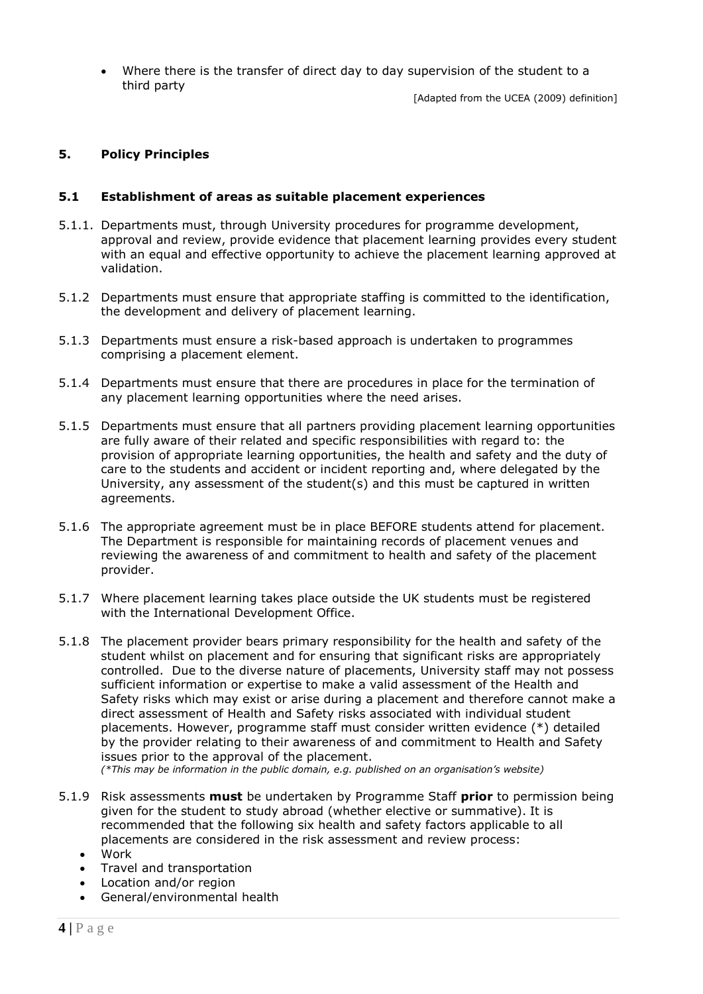Where there is the transfer of direct day to day supervision of the student to a third party

[Adapted from the UCEA (2009) definition]

### **5. Policy Principles**

#### **5.1 Establishment of areas as suitable placement experiences**

- 5.1.1. Departments must, through University procedures for programme development, approval and review, provide evidence that placement learning provides every student with an equal and effective opportunity to achieve the placement learning approved at validation.
- 5.1.2 Departments must ensure that appropriate staffing is committed to the identification, the development and delivery of placement learning.
- 5.1.3 Departments must ensure a risk-based approach is undertaken to programmes comprising a placement element.
- 5.1.4 Departments must ensure that there are procedures in place for the termination of any placement learning opportunities where the need arises.
- 5.1.5 Departments must ensure that all partners providing placement learning opportunities are fully aware of their related and specific responsibilities with regard to: the provision of appropriate learning opportunities, the health and safety and the duty of care to the students and accident or incident reporting and, where delegated by the University, any assessment of the student(s) and this must be captured in written agreements.
- 5.1.6 The appropriate agreement must be in place BEFORE students attend for placement. The Department is responsible for maintaining records of placement venues and reviewing the awareness of and commitment to health and safety of the placement provider.
- 5.1.7 Where placement learning takes place outside the UK students must be registered with the International Development Office.
- 5.1.8 The placement provider bears primary responsibility for the health and safety of the student whilst on placement and for ensuring that significant risks are appropriately controlled. Due to the diverse nature of placements, University staff may not possess sufficient information or expertise to make a valid assessment of the Health and Safety risks which may exist or arise during a placement and therefore cannot make a direct assessment of Health and Safety risks associated with individual student placements. However, programme staff must consider written evidence (\*) detailed by the provider relating to their awareness of and commitment to Health and Safety issues prior to the approval of the placement.

*(\*This may be information in the public domain, e.g. published on an organisation's website)* 

- 5.1.9 Risk assessments **must** be undertaken by Programme Staff **prior** to permission being given for the student to study abroad (whether elective or summative). It is recommended that the following six health and safety factors applicable to all placements are considered in the risk assessment and review process:
	- Work
	- Travel and transportation
	- Location and/or region
	- General/environmental health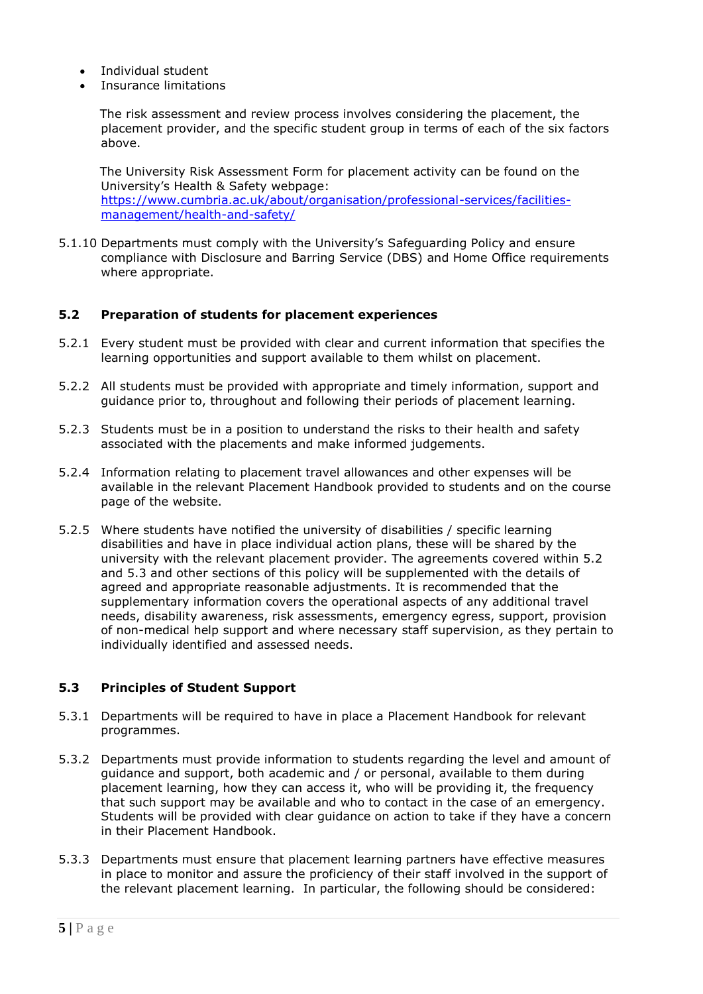- Individual student
- Insurance limitations

 The risk assessment and review process involves considering the placement, the placement provider, and the specific student group in terms of each of the six factors above.

 The University Risk Assessment Form for placement activity can be found on the University's Health & Safety webpage: [https://www.cumbria.ac.uk/about/organisation/professional-services/facilities](https://www.cumbria.ac.uk/about/organisation/professional-services/facilities-management/health-and-safety/)[management/health-and-safety/](https://www.cumbria.ac.uk/about/organisation/professional-services/facilities-management/health-and-safety/)

5.1.10 Departments must comply with the University's Safeguarding Policy and ensure compliance with Disclosure and Barring Service (DBS) and Home Office requirements where appropriate.

### **5.2 Preparation of students for placement experiences**

- 5.2.1 Every student must be provided with clear and current information that specifies the learning opportunities and support available to them whilst on placement.
- 5.2.2 All students must be provided with appropriate and timely information, support and guidance prior to, throughout and following their periods of placement learning.
- 5.2.3 Students must be in a position to understand the risks to their health and safety associated with the placements and make informed judgements.
- 5.2.4 Information relating to placement travel allowances and other expenses will be available in the relevant Placement Handbook provided to students and on the course page of the website.
- 5.2.5 Where students have notified the university of disabilities / specific learning disabilities and have in place individual action plans, these will be shared by the university with the relevant placement provider. The agreements covered within 5.2 and 5.3 and other sections of this policy will be supplemented with the details of agreed and appropriate reasonable adjustments. It is recommended that the supplementary information covers the operational aspects of any additional travel needs, disability awareness, risk assessments, emergency egress, support, provision of non-medical help support and where necessary staff supervision, as they pertain to individually identified and assessed needs.

### **5.3 Principles of Student Support**

- 5.3.1 Departments will be required to have in place a Placement Handbook for relevant programmes.
- 5.3.2 Departments must provide information to students regarding the level and amount of guidance and support, both academic and / or personal, available to them during placement learning, how they can access it, who will be providing it, the frequency that such support may be available and who to contact in the case of an emergency. Students will be provided with clear guidance on action to take if they have a concern in their Placement Handbook.
- 5.3.3 Departments must ensure that placement learning partners have effective measures in place to monitor and assure the proficiency of their staff involved in the support of the relevant placement learning. In particular, the following should be considered: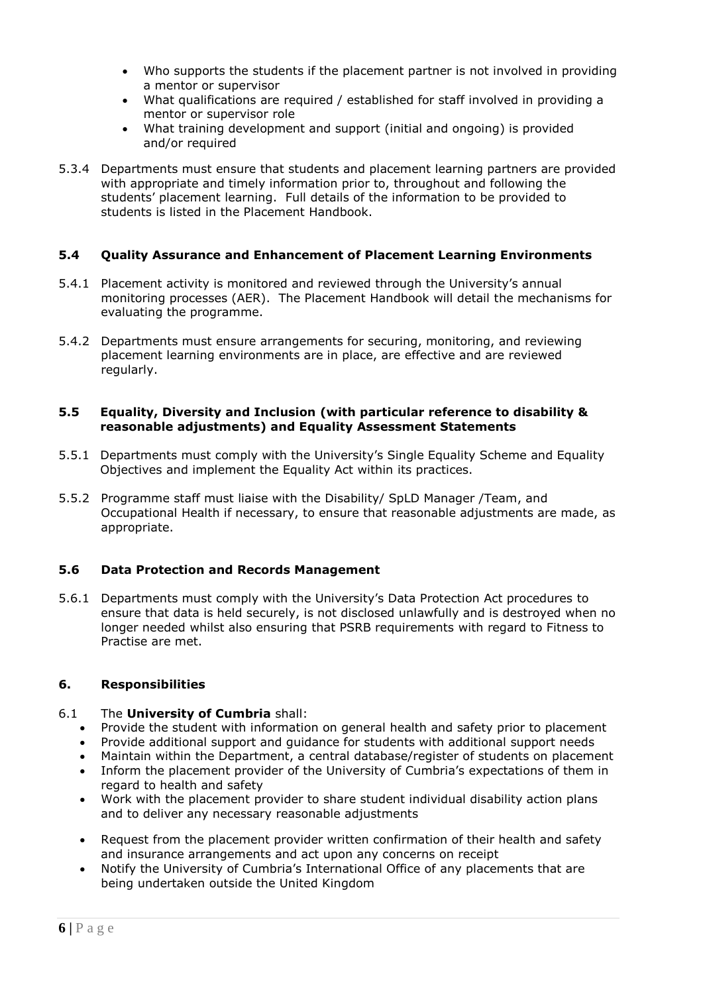- Who supports the students if the placement partner is not involved in providing a mentor or supervisor
- What qualifications are required / established for staff involved in providing a mentor or supervisor role
- What training development and support (initial and ongoing) is provided and/or required
- 5.3.4 Departments must ensure that students and placement learning partners are provided with appropriate and timely information prior to, throughout and following the students' placement learning. Full details of the information to be provided to students is listed in the Placement Handbook.

### **5.4 Quality Assurance and Enhancement of Placement Learning Environments**

- 5.4.1 Placement activity is monitored and reviewed through the University's annual monitoring processes (AER). The Placement Handbook will detail the mechanisms for evaluating the programme.
- 5.4.2 Departments must ensure arrangements for securing, monitoring, and reviewing placement learning environments are in place, are effective and are reviewed regularly.

#### **5.5 Equality, Diversity and Inclusion (with particular reference to disability & reasonable adjustments) and Equality Assessment Statements**

- 5.5.1 Departments must comply with the University's Single Equality Scheme and Equality Objectives and implement the Equality Act within its practices.
- 5.5.2 Programme staff must liaise with the Disability/ SpLD Manager /Team, and Occupational Health if necessary, to ensure that reasonable adjustments are made, as appropriate.

### **5.6 Data Protection and Records Management**

5.6.1 Departments must comply with the University's Data Protection Act procedures to ensure that data is held securely, is not disclosed unlawfully and is destroyed when no longer needed whilst also ensuring that PSRB requirements with regard to Fitness to Practise are met.

### **6. Responsibilities**

### 6.1 The **University of Cumbria** shall:

- Provide the student with information on general health and safety prior to placement
- Provide additional support and guidance for students with additional support needs
- Maintain within the Department, a central database/register of students on placement
- Inform the placement provider of the University of Cumbria's expectations of them in regard to health and safety
- Work with the placement provider to share student individual disability action plans and to deliver any necessary reasonable adjustments
- Request from the placement provider written confirmation of their health and safety and insurance arrangements and act upon any concerns on receipt
- Notify the University of Cumbria's International Office of any placements that are being undertaken outside the United Kingdom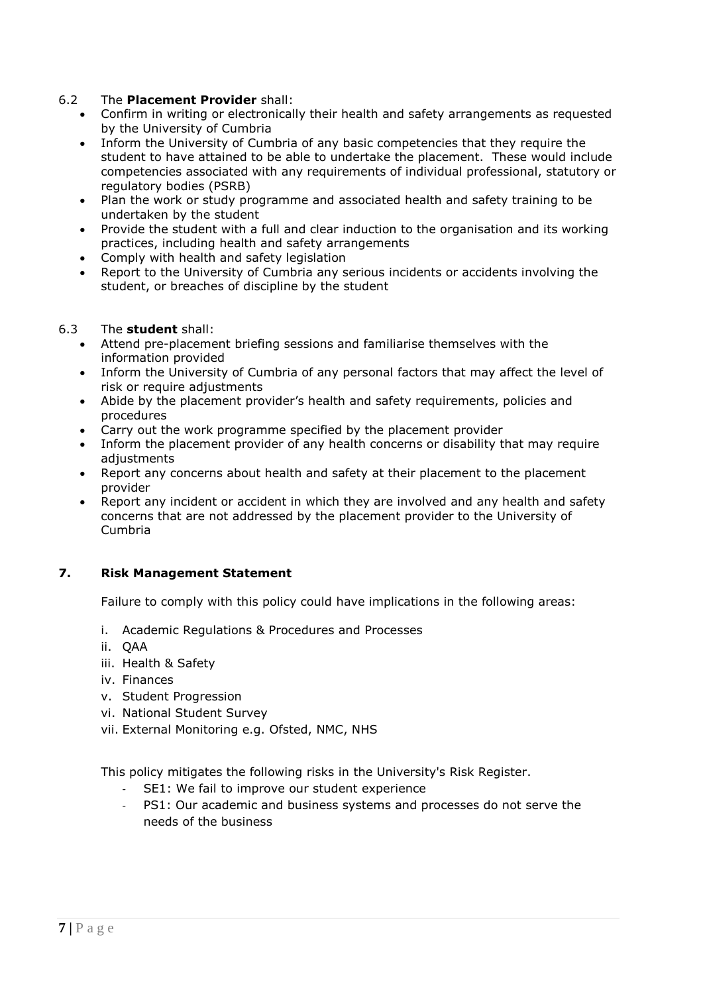### 6.2 The **Placement Provider** shall:

- Confirm in writing or electronically their health and safety arrangements as requested by the University of Cumbria
- Inform the University of Cumbria of any basic competencies that they require the student to have attained to be able to undertake the placement. These would include competencies associated with any requirements of individual professional, statutory or regulatory bodies (PSRB)
- Plan the work or study programme and associated health and safety training to be undertaken by the student
- Provide the student with a full and clear induction to the organisation and its working practices, including health and safety arrangements
- Comply with health and safety legislation
- Report to the University of Cumbria any serious incidents or accidents involving the student, or breaches of discipline by the student

#### 6.3 The **student** shall:

- Attend pre-placement briefing sessions and familiarise themselves with the information provided
- Inform the University of Cumbria of any personal factors that may affect the level of risk or require adjustments
- Abide by the placement provider's health and safety requirements, policies and procedures
- Carry out the work programme specified by the placement provider
- Inform the placement provider of any health concerns or disability that may require adjustments
- Report any concerns about health and safety at their placement to the placement provider
- Report any incident or accident in which they are involved and any health and safety concerns that are not addressed by the placement provider to the University of Cumbria

### **7. Risk Management Statement**

Failure to comply with this policy could have implications in the following areas:

- i. Academic Regulations & Procedures and Processes
- ii. QAA
- iii. Health & Safety
- iv. Finances
- v. Student Progression
- vi. National Student Survey
- vii. External Monitoring e.g. Ofsted, NMC, NHS

This policy mitigates the following risks in the University's Risk Register.

- SE1: We fail to improve our student experience
- PS1: Our academic and business systems and processes do not serve the needs of the business